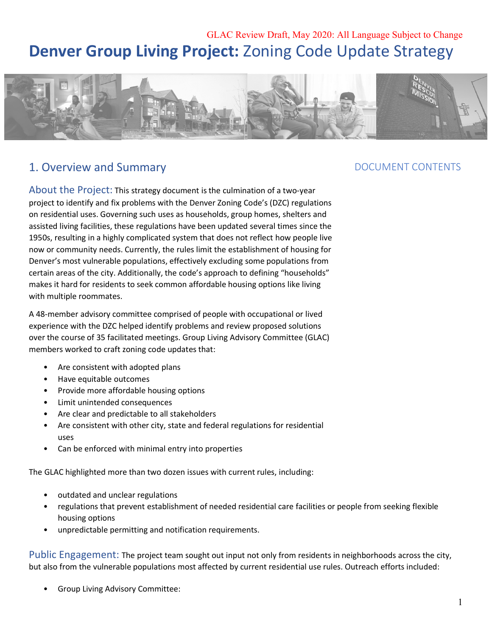# GLAC Review Draft, May 2020: All Language Subject to Change **Denver Group Living Project: Zoning Code Update Strategy**



# 1. Overview and Summary **Example 20 and Summary** DOCUMENT CONTENTS

 About the Project: This strategy document is the culmination of a two-year project to identify and fix problems with the Denver Zoning Code's (DZC) regulations on residential uses. Governing such uses as households, group homes, shelters and assisted living facilities, these regulations have been updated several times since the 1950s, resulting in a highly complicated system that does not reflect how people live now or community needs. Currently, the rules limit the establishment of housing for Denver's most vulnerable populations, effectively excluding some populations from certain areas of the city. Additionally, the code's approach to defining "households" makes it hard for residents to seek common affordable housing options like living with multiple roommates.

 A 48-member advisory committee comprised of people with occupational or lived experience with the DZC helped identify problems and review proposed solutions over the course of 35 facilitated meetings. Group Living Advisory Committee (GLAC) members worked to craft zoning code updates that:

- Are consistent with adopted plans
- Have equitable outcomes
- Provide more affordable housing options
- Limit unintended consequences
- Are clear and predictable to all stakeholders
- Are consistent with other city, state and federal regulations for residential
- uses<br>• Can be enforced with minimal entry into properties

The GLAC highlighted more than two dozen issues with current rules, including:

- outdated and unclear regulations
- • regulations that prevent establishment of needed residential care facilities or people from seeking flexible housing options
- unpredictable permitting and notification requirements.

 Public Engagement: The project team sought out input not only from residents in neighborhoods across the city, but also from the vulnerable populations most affected by current residential use rules. Outreach efforts included:

• Group Living Advisory Committee:

# **DOCUMENT CONTENTS**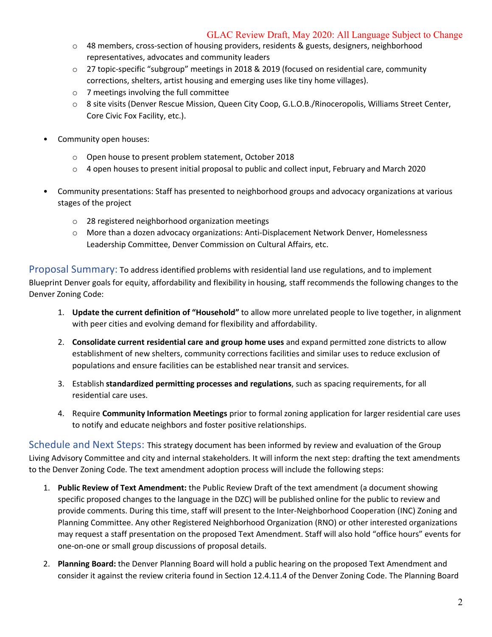- o 48 members, cross-section of housing providers, residents & guests, designers, neighborhood representatives, advocates and community leaders
- o 27 topic-specific "subgroup" meetings in 2018 & 2019 (focused on residential care, community corrections, shelters, artist housing and emerging uses like tiny home villages).
- o 7 meetings involving the full committee
- o 8 site visits (Denver Rescue Mission, Queen City Coop, G.L.O.B./Rinoceropolis, Williams Street Center, Core Civic Fox Facility, etc.).
- • Community open houses:
	- o Open house to present problem statement, October 2018
	- o 4 open houses to present initial proposal to public and collect input, February and March 2020
- • Community presentations: Staff has presented to neighborhood groups and advocacy organizations at various stages of the project
	- o 28 registered neighborhood organization meetings
	- o More than a dozen advocacy organizations: Anti-Displacement Network Denver, Homelessness Leadership Committee, Denver Commission on Cultural Affairs, etc.

 Proposal Summary: To address identified problems with residential land use regulations, and to implement Blueprint Denver goals for equity, affordability and flexibility in housing, staff recommends the following changes to the Denver Zoning Code:

- 1. **Update the current definition of "Household"** to allow more unrelated people to live together, in alignment with peer cities and evolving demand for flexibility and affordability.
- 2. **Consolidate current residential care and group home uses** and expand permitted zone districts to allow establishment of new shelters, community corrections facilities and similar uses to reduce exclusion of populations and ensure facilities can be established near transit and services.
- 3. Establish **standardized permitting processes and regulations**, such as spacing requirements, for all residential care uses.
- 4. Require **Community Information Meetings** prior to formal zoning application for larger residential care uses to notify and educate neighbors and foster positive relationships.

 Schedule and Next Steps: This strategy document has been informed by review and evaluation of the Group Living Advisory Committee and city and internal stakeholders. It will inform the next step: drafting the text amendments to the Denver Zoning Code. The text amendment adoption process will include the following steps:

- 1. **Public Review of Text Amendment:** the Public Review Draft of the text amendment (a document showing specific proposed changes to the language in the DZC) will be published online for the public to review and provide comments. During this time, staff will present to the Inter-Neighborhood Cooperation (INC) Zoning and Planning Committee. Any other Registered Neighborhood Organization (RNO) or other interested organizations may request a staff presentation on the proposed Text Amendment. Staff will also hold "office hours" events for one-on-one or small group discussions of proposal details.
- 2. **Planning Board:** the Denver Planning Board will hold a public hearing on the proposed Text Amendment and consider it against the review criteria found in Section 12.4.11.4 of the Denver Zoning Code. The Planning Board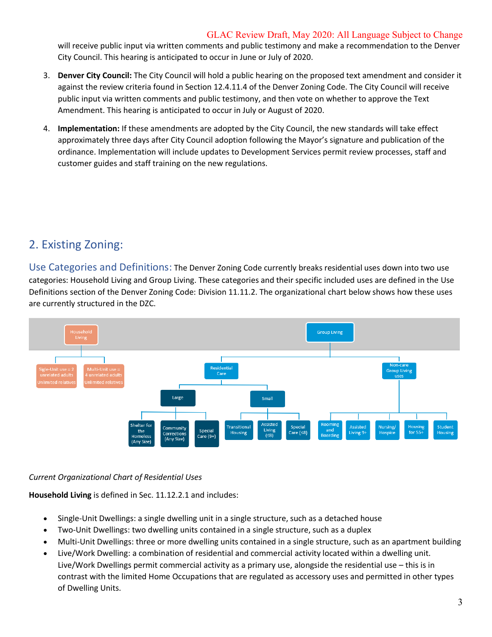will receive public input via written comments and public testimony and make a recommendation to the Denver City Council. This hearing is anticipated to occur in June or July of 2020.

- 3. **Denver City Council:** The City Council will hold a public hearing on the proposed text amendment and consider it against the review criteria found in Section 12.4.11.4 of the Denver Zoning Code. The City Council will receive public input via written comments and public testimony, and then vote on whether to approve the Text Amendment. This hearing is anticipated to occur in July or August of 2020.
- 4. **Implementation:** If these amendments are adopted by the City Council, the new standards will take effect approximately three days after City Council adoption following the Mayor's signature and publication of the ordinance. Implementation will include updates to Development Services permit review processes, staff and customer guides and staff training on the new regulations.

# 2. Existing Zoning:

 Use Categories and Definitions: The Denver Zoning Code currently breaks residential uses down into two use categories: Household Living and Group Living. These categories and their specific included uses are defined in the Use Definitions section of the Denver Zoning Code: Division 11.11.2. The organizational chart below shows how these uses are currently structured in the DZC.



## *Current Organizational Chart of Residential Uses*

**Household Living** is defined in Sec. 11.12.2.1 and includes:

- Single-Unit Dwellings: a single dwelling unit in a single structure, such as a detached house
- Two-Unit Dwellings: two dwelling units contained in a single structure, such as a duplex
- Multi-Unit Dwellings: three or more dwelling units contained in a single structure, such as an apartment building
- • Live/Work Dwelling: a combination of residential and commercial activity located within a dwelling unit. contrast with the limited Home Occupations that are regulated as accessory uses and permitted in other types of Dwelling Units. Live/Work Dwellings permit commercial activity as a primary use, alongside the residential use – this is in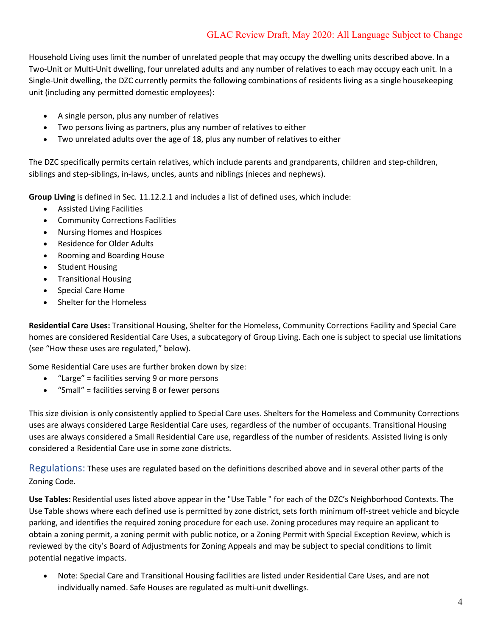Household Living uses limit the number of unrelated people that may occupy the dwelling units described above. In a Two-Unit or Multi-Unit dwelling, four unrelated adults and any number of relatives to each may occupy each unit. In a Single-Unit dwelling, the DZC currently permits the following combinations of residents living as a single housekeeping unit (including any permitted domestic employees):

- A single person, plus any number of relatives
- Two persons living as partners, plus any number of relatives to either
- Two unrelated adults over the age of 18, plus any number of relatives to either

 The DZC specifically permits certain relatives, which include parents and grandparents, children and step-children, siblings and step-siblings, in-laws, uncles, aunts and niblings (nieces and nephews).

**Group Living** is defined in Sec. 11.12.2.1 and includes a list of defined uses, which include:

- Assisted Living Facilities
- Community Corrections Facilities
- Nursing Homes and Hospices
- Residence for Older Adults
- Rooming and Boarding House
- Student Housing
- Transitional Housing
- Special Care Home
- Shelter for the Homeless

 **Residential Care Uses:** Transitional Housing, Shelter for the Homeless, Community Corrections Facility and Special Care homes are considered Residential Care Uses, a subcategory of Group Living. Each one is subject to special use limitations (see "How these uses are regulated," below).

Some Residential Care uses are further broken down by size:

- "Large" = facilities serving 9 or more persons
- "Small" = facilities serving 8 or fewer persons

 This size division is only consistently applied to Special Care uses. Shelters for the Homeless and Community Corrections uses are always considered Large Residential Care uses, regardless of the number of occupants. Transitional Housing uses are always considered a Small Residential Care use, regardless of the number of residents. Assisted living is only considered a Residential Care use in some zone districts.

 Regulations: These uses are regulated based on the definitions described above and in several other parts of the Zoning Code.

 **Use Tables:** Residential uses listed above appear in the "Use Table " for each of the DZC's Neighborhood Contexts. The Use Table shows where each defined use is permitted by zone district, sets forth minimum off-street vehicle and bicycle parking, and identifies the required zoning procedure for each use. Zoning procedures may require an applicant to obtain a zoning permit, a zoning permit with public notice, or a Zoning Permit with Special Exception Review, which is reviewed by the city's Board of Adjustments for Zoning Appeals and may be subject to special conditions to limit potential negative impacts.

 • Note: Special Care and Transitional Housing facilities are listed under Residential Care Uses, and are not individually named. Safe Houses are regulated as multi-unit dwellings.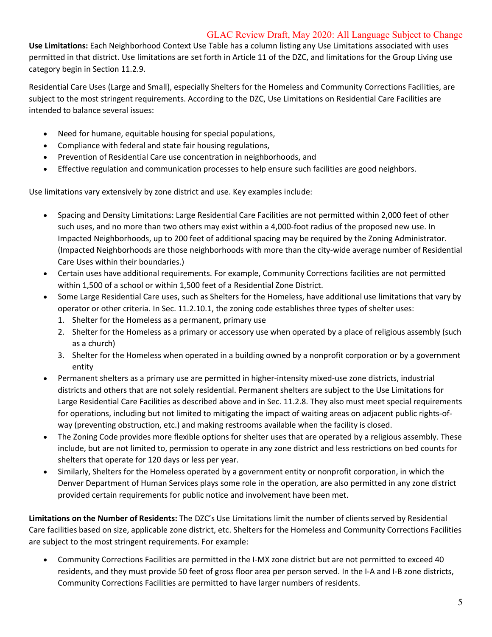**Use Limitations:** Each Neighborhood Context Use Table has a column listing any Use Limitations associated with uses permitted in that district. Use limitations are set forth in Article 11 of the DZC, and limitations for the Group Living use category begin in Section 11.2.9.

 Residential Care Uses (Large and Small), especially Shelters for the Homeless and Community Corrections Facilities, are subject to the most stringent requirements. According to the DZC, Use Limitations on Residential Care Facilities are intended to balance several issues:

- Need for humane, equitable housing for special populations,
- Compliance with federal and state fair housing regulations,
- Prevention of Residential Care use concentration in neighborhoods, and
- Effective regulation and communication processes to help ensure such facilities are good neighbors.

Use limitations vary extensively by zone district and use. Key examples include:

- • Spacing and Density Limitations: Large Residential Care Facilities are not permitted within 2,000 feet of other such uses, and no more than two others may exist within a 4,000-foot radius of the proposed new use. In Impacted Neighborhoods, up to 200 feet of additional spacing may be required by the Zoning Administrator. (Impacted Neighborhoods are those neighborhoods with more than the city-wide average number of Residential Care Uses within their boundaries.)
- • Certain uses have additional requirements. For example, Community Corrections facilities are not permitted within 1,500 of a school or within 1,500 feet of a Residential Zone District.
- • Some Large Residential Care uses, such as Shelters for the Homeless, have additional use limitations that vary by operator or other criteria. In Sec. 11.2.10.1, the zoning code establishes three types of shelter uses:
	- 1. Shelter for the Homeless as a permanent, primary use
	- 2. Shelter for the Homeless as a primary or accessory use when operated by a place of religious assembly (such as a church)
	- 3. Shelter for the Homeless when operated in a building owned by a nonprofit corporation or by a government entity
- • Permanent shelters as a primary use are permitted in higher-intensity mixed-use zone districts, industrial districts and others that are not solely residential. Permanent shelters are subject to the Use Limitations for Large Residential Care Facilities as described above and in Sec. 11.2.8. They also must meet special requirements for operations, including but not limited to mitigating the impact of waiting areas on adjacent public rights-of-way (preventing obstruction, etc.) and making restrooms available when the facility is closed.
- • The Zoning Code provides more flexible options for shelter uses that are operated by a religious assembly. These include, but are not limited to, permission to operate in any zone district and less restrictions on bed counts for shelters that operate for 120 days or less per year.
- • Similarly, Shelters for the Homeless operated by a government entity or nonprofit corporation, in which the Denver Department of Human Services plays some role in the operation, are also permitted in any zone district provided certain requirements for public notice and involvement have been met.

 **Limitations on the Number of Residents:** The DZC's Use Limitations limit the number of clients served by Residential Care facilities based on size, applicable zone district, etc. Shelters for the Homeless and Community Corrections Facilities are subject to the most stringent requirements. For example:

 • Community Corrections Facilities are permitted in the I-MX zone district but are not permitted to exceed 40 residents, and they must provide 50 feet of gross floor area per person served. In the I-A and I-B zone districts, Community Corrections Facilities are permitted to have larger numbers of residents.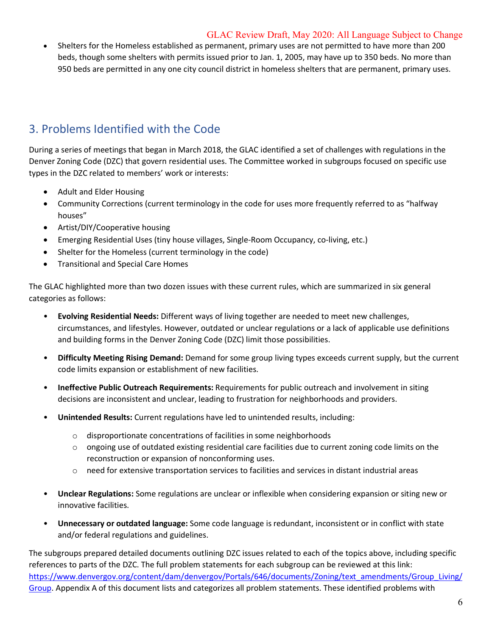• Shelters for the Homeless established as permanent, primary uses are not permitted to have more than 200 beds, though some shelters with permits issued prior to Jan. 1, 2005, may have up to 350 beds. No more than 950 beds are permitted in any one city council district in homeless shelters that are permanent, primary uses.

# 3. Problems Identified with the Code

 During a series of meetings that began in March 2018, the GLAC identified a set of challenges with regulations in the Denver Zoning Code (DZC) that govern residential uses. The Committee worked in subgroups focused on specific use types in the DZC related to members' work or interests:

- Adult and Elder Housing
- • Community Corrections (current terminology in the code for uses more frequently referred to as "halfway houses"
- Artist/DIY/Cooperative housing
- Emerging Residential Uses (tiny house villages, Single-Room Occupancy, co-living, etc.)
- Shelter for the Homeless (current terminology in the code)
- Transitional and Special Care Homes

 The GLAC highlighted more than two dozen issues with these current rules, which are summarized in six general categories as follows:

- **Evolving Residential Needs:** Different ways of living together are needed to meet new challenges, circumstances, and lifestyles. However, outdated or unclear regulations or a lack of applicable use definitions and building forms in the Denver Zoning Code (DZC) limit those possibilities.
- **Difficulty Meeting Rising Demand:** Demand for some group living types exceeds current supply, but the current code limits expansion or establishment of new facilities.
- **Ineffective Public Outreach Requirements:** Requirements for public outreach and involvement in siting decisions are inconsistent and unclear, leading to frustration for neighborhoods and providers.
- • **Unintended Results:** Current regulations have led to unintended results, including:
	- $\circ$  disproportionate concentrations of facilities in some neighborhoods
	- $\circ$  ongoing use of outdated existing residential care facilities due to current zoning code limits on the reconstruction or expansion of nonconforming uses.
	- $\circ$  need for extensive transportation services to facilities and services in distant industrial areas
- • **Unclear Regulations:** Some regulations are unclear or inflexible when considering expansion or siting new or innovative facilities.
- **Unnecessary or outdated language:** Some code language is redundant, inconsistent or in conflict with state and/or federal regulations and guidelines.

 The subgroups prepared detailed documents outlining DZC issues related to each of the topics above, including specific references to parts of the DZC. The full problem statements for each subgroup can be reviewed at this link: Group. Appendix A of this document lists and categorizes all problem statements. These identified problems with [https://www.denvergov.org/content/dam/denvergov/Portals/646/documents/Zoning/text\\_amendments/Group\\_Living/](https://www.denvergov.org/content/dam/denvergov/Portals/646/documents/Zoning/text_amendments/Group_Living)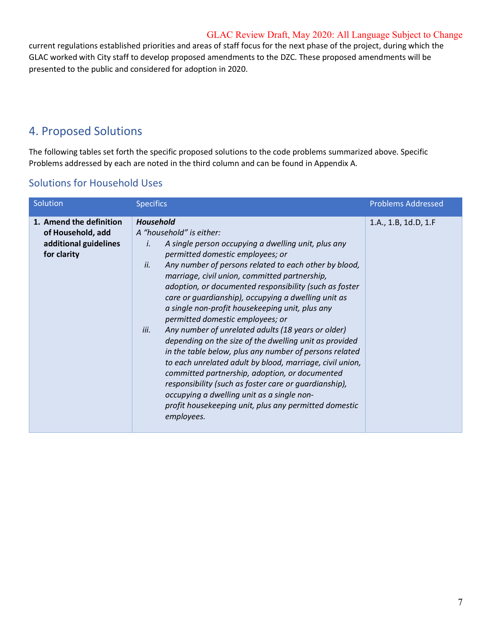current regulations established priorities and areas of staff focus for the next phase of the project, during which the GLAC worked with City staff to develop proposed amendments to the DZC. These proposed amendments will be presented to the public and considered for adoption in 2020.

# 4. Proposed Solutions

 The following tables set forth the specific proposed solutions to the code problems summarized above. Specific Problems addressed by each are noted in the third column and can be found in Appendix A.

| <b>Solutions for Household Uses</b> |  |  |
|-------------------------------------|--|--|
|                                     |  |  |

| Solution                                                                             | <b>Specifics</b>                                                                                                                                                                                                                                                                                                                                                                                                                                                                                                                                                                                                                                                                                                                                                                                                                                                                                                                                     | <b>Problems Addressed</b> |
|--------------------------------------------------------------------------------------|------------------------------------------------------------------------------------------------------------------------------------------------------------------------------------------------------------------------------------------------------------------------------------------------------------------------------------------------------------------------------------------------------------------------------------------------------------------------------------------------------------------------------------------------------------------------------------------------------------------------------------------------------------------------------------------------------------------------------------------------------------------------------------------------------------------------------------------------------------------------------------------------------------------------------------------------------|---------------------------|
| 1. Amend the definition<br>of Household, add<br>additional guidelines<br>for clarity | <b>Household</b><br>A "household" is either:<br>A single person occupying a dwelling unit, plus any<br>Í.<br>permitted domestic employees; or<br>Any number of persons related to each other by blood,<br>ii.<br>marriage, civil union, committed partnership,<br>adoption, or documented responsibility (such as foster<br>care or guardianship), occupying a dwelling unit as<br>a single non-profit housekeeping unit, plus any<br>permitted domestic employees; or<br>Any number of unrelated adults (18 years or older)<br>iii.<br>depending on the size of the dwelling unit as provided<br>in the table below, plus any number of persons related<br>to each unrelated adult by blood, marriage, civil union,<br>committed partnership, adoption, or documented<br>responsibility (such as foster care or guardianship),<br>occupying a dwelling unit as a single non-<br>profit housekeeping unit, plus any permitted domestic<br>employees. | 1.A., 1.B, 1d.D, 1.F      |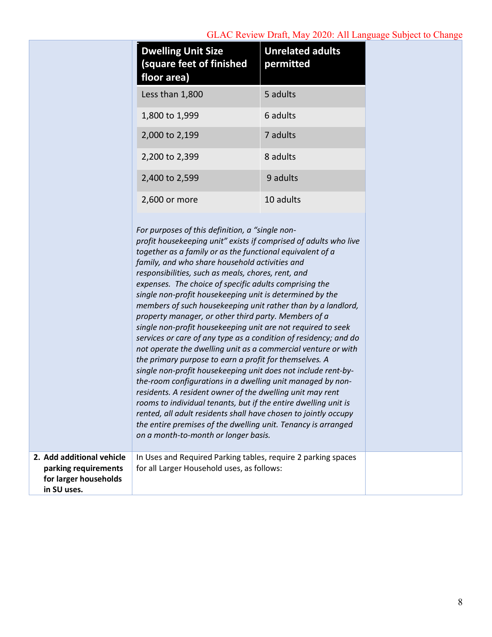|                                                              | <b>Dwelling Unit Size</b><br>(square feet of finished<br>floor area)                                                                                                                                                                                                                                                                                                                                                                                                                                                                                                                                                                                                                                                                                                                                                                                                                                                                                                                                                                                                                                                                                                                          | <b>Unrelated adults</b><br>permitted |
|--------------------------------------------------------------|-----------------------------------------------------------------------------------------------------------------------------------------------------------------------------------------------------------------------------------------------------------------------------------------------------------------------------------------------------------------------------------------------------------------------------------------------------------------------------------------------------------------------------------------------------------------------------------------------------------------------------------------------------------------------------------------------------------------------------------------------------------------------------------------------------------------------------------------------------------------------------------------------------------------------------------------------------------------------------------------------------------------------------------------------------------------------------------------------------------------------------------------------------------------------------------------------|--------------------------------------|
|                                                              | Less than 1,800                                                                                                                                                                                                                                                                                                                                                                                                                                                                                                                                                                                                                                                                                                                                                                                                                                                                                                                                                                                                                                                                                                                                                                               | 5 adults                             |
|                                                              | 1,800 to 1,999                                                                                                                                                                                                                                                                                                                                                                                                                                                                                                                                                                                                                                                                                                                                                                                                                                                                                                                                                                                                                                                                                                                                                                                | 6 adults                             |
|                                                              | 2,000 to 2,199                                                                                                                                                                                                                                                                                                                                                                                                                                                                                                                                                                                                                                                                                                                                                                                                                                                                                                                                                                                                                                                                                                                                                                                | 7 adults                             |
|                                                              | 2,200 to 2,399                                                                                                                                                                                                                                                                                                                                                                                                                                                                                                                                                                                                                                                                                                                                                                                                                                                                                                                                                                                                                                                                                                                                                                                | 8 adults                             |
|                                                              | 2,400 to 2,599                                                                                                                                                                                                                                                                                                                                                                                                                                                                                                                                                                                                                                                                                                                                                                                                                                                                                                                                                                                                                                                                                                                                                                                | 9 adults                             |
|                                                              | 2,600 or more                                                                                                                                                                                                                                                                                                                                                                                                                                                                                                                                                                                                                                                                                                                                                                                                                                                                                                                                                                                                                                                                                                                                                                                 | 10 adults                            |
| 2. Add additional vehicle                                    | profit housekeeping unit" exists if comprised of adults who live<br>together as a family or as the functional equivalent of a<br>family, and who share household activities and<br>responsibilities, such as meals, chores, rent, and<br>expenses. The choice of specific adults comprising the<br>single non-profit housekeeping unit is determined by the<br>members of such housekeeping unit rather than by a landlord,<br>property manager, or other third party. Members of a<br>single non-profit housekeeping unit are not required to seek<br>services or care of any type as a condition of residency; and do<br>not operate the dwelling unit as a commercial venture or with<br>the primary purpose to earn a profit for themselves. A<br>single non-profit housekeeping unit does not include rent-by-<br>the-room configurations in a dwelling unit managed by non-<br>residents. A resident owner of the dwelling unit may rent<br>rooms to individual tenants, but if the entire dwelling unit is<br>rented, all adult residents shall have chosen to jointly occupy<br>the entire premises of the dwelling unit. Tenancy is arranged<br>on a month-to-month or longer basis. |                                      |
| parking requirements<br>for larger households<br>in SU uses. | In Uses and Required Parking tables, require 2 parking spaces<br>for all Larger Household uses, as follows:                                                                                                                                                                                                                                                                                                                                                                                                                                                                                                                                                                                                                                                                                                                                                                                                                                                                                                                                                                                                                                                                                   |                                      |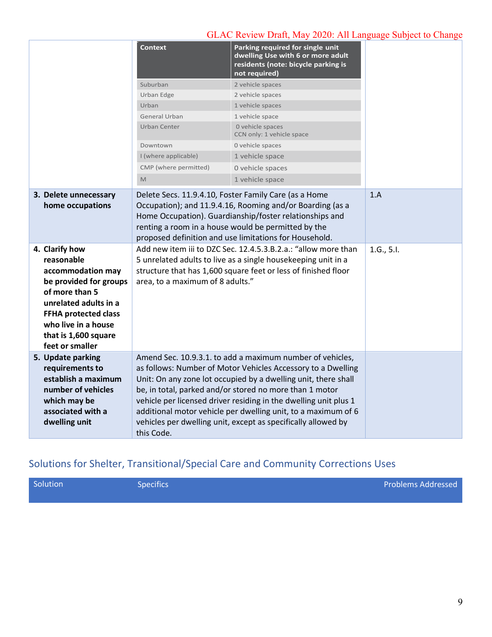|                                                                                                                                                                                                                                                                      | <b>Context</b>                   | Parking required for single unit<br>dwelling Use with 6 or more adult<br>residents (note: bicycle parking is<br>not required)                                                                                                                                                                                                                                                                                                                                                                       |                   |
|----------------------------------------------------------------------------------------------------------------------------------------------------------------------------------------------------------------------------------------------------------------------|----------------------------------|-----------------------------------------------------------------------------------------------------------------------------------------------------------------------------------------------------------------------------------------------------------------------------------------------------------------------------------------------------------------------------------------------------------------------------------------------------------------------------------------------------|-------------------|
|                                                                                                                                                                                                                                                                      | Suburban                         | 2 vehicle spaces                                                                                                                                                                                                                                                                                                                                                                                                                                                                                    |                   |
|                                                                                                                                                                                                                                                                      | Urban Edge                       | 2 vehicle spaces                                                                                                                                                                                                                                                                                                                                                                                                                                                                                    |                   |
|                                                                                                                                                                                                                                                                      | Urban                            | 1 vehicle spaces                                                                                                                                                                                                                                                                                                                                                                                                                                                                                    |                   |
|                                                                                                                                                                                                                                                                      | General Urban                    | 1 vehicle space                                                                                                                                                                                                                                                                                                                                                                                                                                                                                     |                   |
|                                                                                                                                                                                                                                                                      | Urban Center                     | 0 vehicle spaces<br>CCN only: 1 vehicle space                                                                                                                                                                                                                                                                                                                                                                                                                                                       |                   |
|                                                                                                                                                                                                                                                                      | Downtown                         | 0 vehicle spaces                                                                                                                                                                                                                                                                                                                                                                                                                                                                                    |                   |
|                                                                                                                                                                                                                                                                      | I (where applicable)             | 1 vehicle space                                                                                                                                                                                                                                                                                                                                                                                                                                                                                     |                   |
|                                                                                                                                                                                                                                                                      | CMP (where permitted)            | 0 vehicle spaces                                                                                                                                                                                                                                                                                                                                                                                                                                                                                    |                   |
|                                                                                                                                                                                                                                                                      | M                                | 1 vehicle space                                                                                                                                                                                                                                                                                                                                                                                                                                                                                     |                   |
| 3. Delete unnecessary<br>home occupations<br>4. Clarify how<br>reasonable<br>accommodation may<br>be provided for groups<br>of more than 5<br>unrelated adults in a<br><b>FFHA protected class</b><br>who live in a house<br>that is 1,600 square<br>feet or smaller | area, to a maximum of 8 adults." | Delete Secs. 11.9.4.10, Foster Family Care (as a Home<br>Occupation); and 11.9.4.16, Rooming and/or Boarding (as a<br>Home Occupation). Guardianship/foster relationships and<br>renting a room in a house would be permitted by the<br>proposed definition and use limitations for Household.<br>Add new item iii to DZC Sec. 12.4.5.3.B.2.a.: "allow more than<br>5 unrelated adults to live as a single housekeeping unit in a<br>structure that has 1,600 square feet or less of finished floor | 1.A<br>1.G., 5.I. |
| 5. Update parking<br>requirements to<br>establish a maximum<br>number of vehicles<br>which may be<br>associated with a<br>dwelling unit                                                                                                                              | this Code.                       | Amend Sec. 10.9.3.1. to add a maximum number of vehicles,<br>as follows: Number of Motor Vehicles Accessory to a Dwelling<br>Unit: On any zone lot occupied by a dwelling unit, there shall<br>be, in total, parked and/or stored no more than 1 motor<br>vehicle per licensed driver residing in the dwelling unit plus 1<br>additional motor vehicle per dwelling unit, to a maximum of 6<br>vehicles per dwelling unit, except as specifically allowed by                                        |                   |

# Solutions for Shelter, Transitional/Special Care and Community Corrections Uses

Solution Specifics Problems Addressed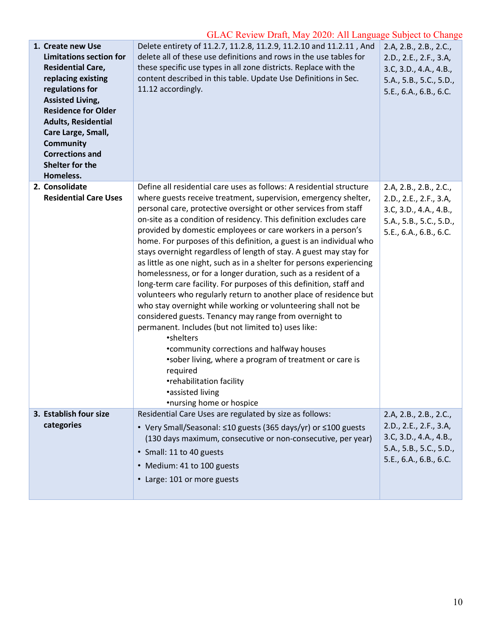| 1. Create new Use<br><b>Limitations section for</b><br><b>Residential Care,</b><br>replacing existing<br>regulations for<br><b>Assisted Living,</b><br><b>Residence for Older</b><br><b>Adults, Residential</b><br>Care Large, Small,<br><b>Community</b><br><b>Corrections and</b><br>Shelter for the<br>Homeless. | Delete entirety of 11.2.7, 11.2.8, 11.2.9, 11.2.10 and 11.2.11, And<br>delete all of these use definitions and rows in the use tables for<br>these specific use types in all zone districts. Replace with the<br>content described in this table. Update Use Definitions in Sec.<br>11.12 accordingly.                                                                                                                                                                                                                                                                                                                                                                                                                                                                                                                                                                                                                                                                                                                                                                                                                                                                                | 2.A, 2.B., 2.B., 2.C.,<br>2.D., 2.E., 2.F., 3.A,<br>3.C, 3.D., 4.A., 4.B.,<br>5.A., 5.B., 5.C., 5.D.,<br>5.E., 6.A., 6.B., 6.C. |
|---------------------------------------------------------------------------------------------------------------------------------------------------------------------------------------------------------------------------------------------------------------------------------------------------------------------|---------------------------------------------------------------------------------------------------------------------------------------------------------------------------------------------------------------------------------------------------------------------------------------------------------------------------------------------------------------------------------------------------------------------------------------------------------------------------------------------------------------------------------------------------------------------------------------------------------------------------------------------------------------------------------------------------------------------------------------------------------------------------------------------------------------------------------------------------------------------------------------------------------------------------------------------------------------------------------------------------------------------------------------------------------------------------------------------------------------------------------------------------------------------------------------|---------------------------------------------------------------------------------------------------------------------------------|
| 2. Consolidate<br><b>Residential Care Uses</b>                                                                                                                                                                                                                                                                      | Define all residential care uses as follows: A residential structure<br>where guests receive treatment, supervision, emergency shelter,<br>personal care, protective oversight or other services from staff<br>on-site as a condition of residency. This definition excludes care<br>provided by domestic employees or care workers in a person's<br>home. For purposes of this definition, a guest is an individual who<br>stays overnight regardless of length of stay. A guest may stay for<br>as little as one night, such as in a shelter for persons experiencing<br>homelessness, or for a longer duration, such as a resident of a<br>long-term care facility. For purposes of this definition, staff and<br>volunteers who regularly return to another place of residence but<br>who stay overnight while working or volunteering shall not be<br>considered guests. Tenancy may range from overnight to<br>permanent. Includes (but not limited to) uses like:<br>•shelters<br>• community corrections and halfway houses<br>*sober living, where a program of treatment or care is<br>required<br>•rehabilitation facility<br>•assisted living<br>•nursing home or hospice | 2.A, 2.B., 2.B., 2.C.,<br>2.D., 2.E., 2.F., 3.A,<br>3.C, 3.D., 4.A., 4.B.,<br>5.A., 5.B., 5.C., 5.D.,<br>5.E., 6.A., 6.B., 6.C. |
| 3. Establish four size<br>categories                                                                                                                                                                                                                                                                                | Residential Care Uses are regulated by size as follows:<br>• Very Small/Seasonal: ≤10 guests (365 days/yr) or ≤100 guests                                                                                                                                                                                                                                                                                                                                                                                                                                                                                                                                                                                                                                                                                                                                                                                                                                                                                                                                                                                                                                                             | 2.A, 2.B., 2.B., 2.C.,<br>2.D., 2.E., 2.F., 3.A,                                                                                |
|                                                                                                                                                                                                                                                                                                                     | (130 days maximum, consecutive or non-consecutive, per year)                                                                                                                                                                                                                                                                                                                                                                                                                                                                                                                                                                                                                                                                                                                                                                                                                                                                                                                                                                                                                                                                                                                          | 3.C, 3.D., 4.A., 4.B.,                                                                                                          |
|                                                                                                                                                                                                                                                                                                                     | • Small: 11 to 40 guests                                                                                                                                                                                                                                                                                                                                                                                                                                                                                                                                                                                                                                                                                                                                                                                                                                                                                                                                                                                                                                                                                                                                                              | 5.A., 5.B., 5.C., 5.D.,<br>5.E., 6.A., 6.B., 6.C.                                                                               |
|                                                                                                                                                                                                                                                                                                                     | • Medium: 41 to 100 guests                                                                                                                                                                                                                                                                                                                                                                                                                                                                                                                                                                                                                                                                                                                                                                                                                                                                                                                                                                                                                                                                                                                                                            |                                                                                                                                 |
|                                                                                                                                                                                                                                                                                                                     | • Large: 101 or more guests                                                                                                                                                                                                                                                                                                                                                                                                                                                                                                                                                                                                                                                                                                                                                                                                                                                                                                                                                                                                                                                                                                                                                           |                                                                                                                                 |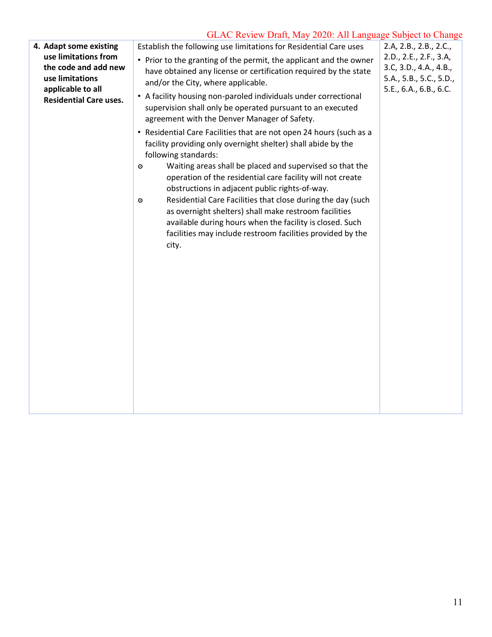| 4. Adapt some existing<br>use limitations from<br>the code and add new<br>use limitations<br>applicable to all<br><b>Residential Care uses.</b> | Establish the following use limitations for Residential Care uses<br>• Prior to the granting of the permit, the applicant and the owner<br>have obtained any license or certification required by the state<br>and/or the City, where applicable.<br>• A facility housing non-paroled individuals under correctional<br>supervision shall only be operated pursuant to an executed<br>agreement with the Denver Manager of Safety.<br>• Residential Care Facilities that are not open 24 hours (such as a<br>facility providing only overnight shelter) shall abide by the<br>following standards:<br>Waiting areas shall be placed and supervised so that the<br>$\circ$ | 2.A, 2.B., 2.B., 2.C.,<br>2.D., 2.E., 2.F., 3.A,<br>3.C, 3.D., 4.A., 4.B.,<br>5.A., 5.B., 5.C., 5.D.,<br>5.E., 6.A., 6.B., 6.C. |  |
|-------------------------------------------------------------------------------------------------------------------------------------------------|---------------------------------------------------------------------------------------------------------------------------------------------------------------------------------------------------------------------------------------------------------------------------------------------------------------------------------------------------------------------------------------------------------------------------------------------------------------------------------------------------------------------------------------------------------------------------------------------------------------------------------------------------------------------------|---------------------------------------------------------------------------------------------------------------------------------|--|
|                                                                                                                                                 | operation of the residential care facility will not create<br>obstructions in adjacent public rights-of-way.<br>Residential Care Facilities that close during the day (such<br>$\circ$<br>as overnight shelters) shall make restroom facilities<br>available during hours when the facility is closed. Such<br>facilities may include restroom facilities provided by the<br>city.                                                                                                                                                                                                                                                                                        |                                                                                                                                 |  |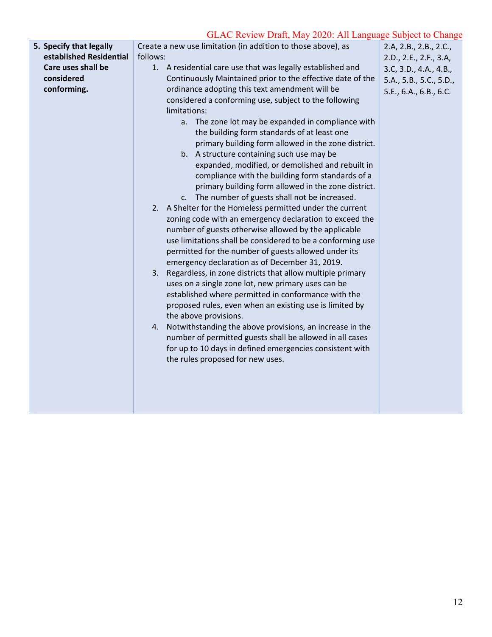| 5. Specify that legally | Create a new use limitation (in addition to those above), as | 2.A, 2.B., 2.B., 2.C.,  |
|-------------------------|--------------------------------------------------------------|-------------------------|
| established Residential | follows:                                                     | 2.D., 2.E., 2.F., 3.A,  |
| Care uses shall be      | 1. A residential care use that was legally established and   | 3.C, 3.D., 4.A., 4.B.,  |
| considered              | Continuously Maintained prior to the effective date of the   | 5.A., 5.B., 5.C., 5.D., |
| conforming.             | ordinance adopting this text amendment will be               | 5.E., 6.A., 6.B., 6.C.  |
|                         | considered a conforming use, subject to the following        |                         |
|                         | limitations:                                                 |                         |
|                         | a. The zone lot may be expanded in compliance with           |                         |
|                         | the building form standards of at least one                  |                         |
|                         | primary building form allowed in the zone district.          |                         |
|                         | b. A structure containing such use may be                    |                         |
|                         | expanded, modified, or demolished and rebuilt in             |                         |
|                         | compliance with the building form standards of a             |                         |
|                         | primary building form allowed in the zone district.          |                         |
|                         | c. The number of guests shall not be increased.              |                         |
|                         | 2. A Shelter for the Homeless permitted under the current    |                         |
|                         | zoning code with an emergency declaration to exceed the      |                         |
|                         | number of guests otherwise allowed by the applicable         |                         |
|                         | use limitations shall be considered to be a conforming use   |                         |
|                         | permitted for the number of guests allowed under its         |                         |
|                         | emergency declaration as of December 31, 2019.               |                         |
|                         | 3. Regardless, in zone districts that allow multiple primary |                         |
|                         | uses on a single zone lot, new primary uses can be           |                         |
|                         | established where permitted in conformance with the          |                         |
|                         | proposed rules, even when an existing use is limited by      |                         |
|                         | the above provisions.                                        |                         |
|                         | 4. Notwithstanding the above provisions, an increase in the  |                         |
|                         | number of permitted guests shall be allowed in all cases     |                         |
|                         | for up to 10 days in defined emergencies consistent with     |                         |
|                         |                                                              |                         |
|                         | the rules proposed for new uses.                             |                         |
|                         |                                                              |                         |
|                         |                                                              |                         |
|                         |                                                              |                         |
|                         |                                                              |                         |
|                         |                                                              |                         |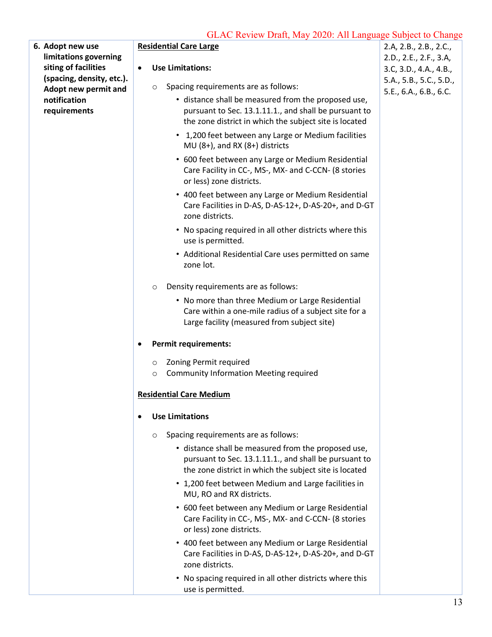| 6. Adopt new use                                  |           |         | <b>Residential Care Large</b>                                                                                                                                          | 2.A, 2.B., 2.B., 2.C.,                            |
|---------------------------------------------------|-----------|---------|------------------------------------------------------------------------------------------------------------------------------------------------------------------------|---------------------------------------------------|
| limitations governing                             |           |         |                                                                                                                                                                        | 2.D., 2.E., 2.F., 3.A,                            |
| siting of facilities                              | $\bullet$ |         | <b>Use Limitations:</b>                                                                                                                                                | 3.C, 3.D., 4.A., 4.B.,                            |
| (spacing, density, etc.).<br>Adopt new permit and |           | $\circ$ | Spacing requirements are as follows:                                                                                                                                   | 5.A., 5.B., 5.C., 5.D.,<br>5.E., 6.A., 6.B., 6.C. |
| notification                                      |           |         | • distance shall be measured from the proposed use,                                                                                                                    |                                                   |
| requirements                                      |           |         | pursuant to Sec. 13.1.11.1., and shall be pursuant to<br>the zone district in which the subject site is located                                                        |                                                   |
|                                                   |           |         | • 1,200 feet between any Large or Medium facilities<br>MU (8+), and RX (8+) districts                                                                                  |                                                   |
|                                                   |           |         | • 600 feet between any Large or Medium Residential<br>Care Facility in CC-, MS-, MX- and C-CCN- (8 stories<br>or less) zone districts.                                 |                                                   |
|                                                   |           |         | • 400 feet between any Large or Medium Residential<br>Care Facilities in D-AS, D-AS-12+, D-AS-20+, and D-GT<br>zone districts.                                         |                                                   |
|                                                   |           |         | • No spacing required in all other districts where this<br>use is permitted.                                                                                           |                                                   |
|                                                   |           |         | • Additional Residential Care uses permitted on same<br>zone lot.                                                                                                      |                                                   |
|                                                   |           | O       | Density requirements are as follows:                                                                                                                                   |                                                   |
|                                                   |           |         | • No more than three Medium or Large Residential<br>Care within a one-mile radius of a subject site for a<br>Large facility (measured from subject site)               |                                                   |
|                                                   |           |         | <b>Permit requirements:</b>                                                                                                                                            |                                                   |
|                                                   |           | $\circ$ | Zoning Permit required                                                                                                                                                 |                                                   |
|                                                   |           | $\circ$ | <b>Community Information Meeting required</b>                                                                                                                          |                                                   |
|                                                   |           |         | <b>Residential Care Medium</b>                                                                                                                                         |                                                   |
|                                                   |           |         | <b>Use Limitations</b>                                                                                                                                                 |                                                   |
|                                                   |           | $\circ$ | Spacing requirements are as follows:                                                                                                                                   |                                                   |
|                                                   |           |         | • distance shall be measured from the proposed use,<br>pursuant to Sec. 13.1.11.1., and shall be pursuant to<br>the zone district in which the subject site is located |                                                   |
|                                                   |           |         | • 1,200 feet between Medium and Large facilities in<br>MU, RO and RX districts.                                                                                        |                                                   |
|                                                   |           |         | • 600 feet between any Medium or Large Residential<br>Care Facility in CC-, MS-, MX- and C-CCN- (8 stories<br>or less) zone districts.                                 |                                                   |
|                                                   |           |         | • 400 feet between any Medium or Large Residential<br>Care Facilities in D-AS, D-AS-12+, D-AS-20+, and D-GT<br>zone districts.                                         |                                                   |
|                                                   |           |         | • No spacing required in all other districts where this<br>use is permitted.                                                                                           |                                                   |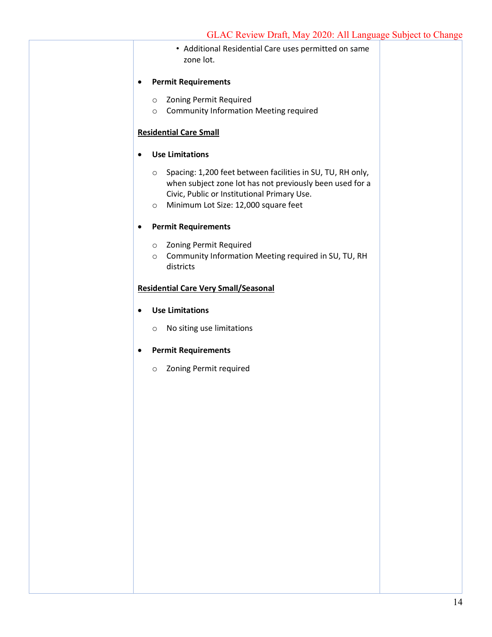| • Additional Residential Care uses permitted on same<br>zone lot.                                                                                                                |  |
|----------------------------------------------------------------------------------------------------------------------------------------------------------------------------------|--|
| <b>Permit Requirements</b>                                                                                                                                                       |  |
| <b>Zoning Permit Required</b><br>$\circ$<br><b>Community Information Meeting required</b><br>$\circ$                                                                             |  |
| <b>Residential Care Small</b>                                                                                                                                                    |  |
| <b>Use Limitations</b>                                                                                                                                                           |  |
| Spacing: 1,200 feet between facilities in SU, TU, RH only,<br>$\circ$<br>when subject zone lot has not previously been used for a<br>Civic, Public or Institutional Primary Use. |  |
| Minimum Lot Size: 12,000 square feet<br>$\circ$                                                                                                                                  |  |
| <b>Permit Requirements</b>                                                                                                                                                       |  |
| Zoning Permit Required<br>$\circ$<br>Community Information Meeting required in SU, TU, RH<br>$\circ$<br>districts                                                                |  |
| <b>Residential Care Very Small/Seasonal</b>                                                                                                                                      |  |
| <b>Use Limitations</b>                                                                                                                                                           |  |
| No siting use limitations<br>$\circ$                                                                                                                                             |  |
| <b>Permit Requirements</b>                                                                                                                                                       |  |
| Zoning Permit required<br>$\circ$                                                                                                                                                |  |
|                                                                                                                                                                                  |  |
|                                                                                                                                                                                  |  |
|                                                                                                                                                                                  |  |
|                                                                                                                                                                                  |  |
|                                                                                                                                                                                  |  |
|                                                                                                                                                                                  |  |
|                                                                                                                                                                                  |  |
|                                                                                                                                                                                  |  |
|                                                                                                                                                                                  |  |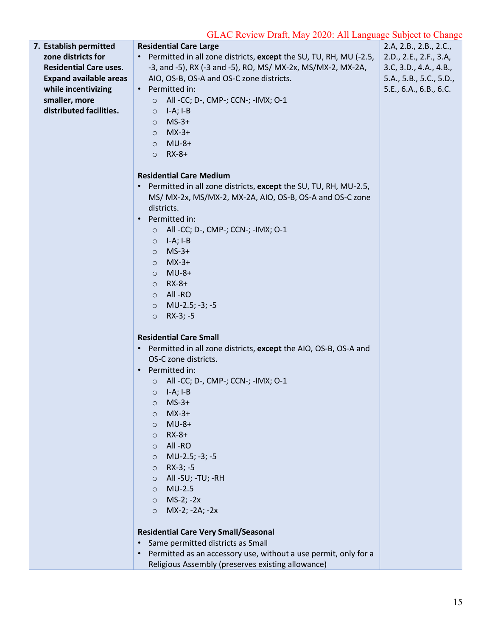| 7. Establish permitted        | <b>Residential Care Large</b>                                                          | 2.A, 2.B., 2.B., 2.C.,  |
|-------------------------------|----------------------------------------------------------------------------------------|-------------------------|
| zone districts for            | Permitted in all zone districts, except the SU, TU, RH, MU (-2.5, $\vert$<br>$\bullet$ | 2.D., 2.E., 2.F., 3.A,  |
| <b>Residential Care uses.</b> | -3, and -5), RX (-3 and -5), RO, MS/ MX-2x, MS/MX-2, MX-2A,                            | 3.C, 3.D., 4.A., 4.B.,  |
| <b>Expand available areas</b> | AIO, OS-B, OS-A and OS-C zone districts.                                               | 5.A., 5.B., 5.C., 5.D., |
| while incentivizing           | • Permitted in:                                                                        | 5.E., 6.A., 6.B., 6.C.  |
| smaller, more                 | All -CC; D-, CMP-; CCN-; -IMX; O-1<br>$\circ$                                          |                         |
| distributed facilities.       | - I-A; I-B<br>$\circ$                                                                  |                         |
|                               | $MS-3+$<br>$\circ$                                                                     |                         |
|                               | $MX-3+$<br>$\circ$                                                                     |                         |
|                               | $MU-8+$                                                                                |                         |
|                               | $\circ$<br>$RX-8+$<br>$\circ$                                                          |                         |
|                               |                                                                                        |                         |
|                               | <b>Residential Care Medium</b>                                                         |                         |
|                               | Permitted in all zone districts, except the SU, TU, RH, MU-2.5,<br>$\bullet$           |                         |
|                               | MS/ MX-2x, MS/MX-2, MX-2A, AIO, OS-B, OS-A and OS-C zone                               |                         |
|                               | districts.                                                                             |                         |
|                               | Permitted in:<br>$\bullet$                                                             |                         |
|                               | All -CC; D-, CMP-; CCN-; -IMX; O-1<br>$\circ$                                          |                         |
|                               | $\circ$ I-A; I-B                                                                       |                         |
|                               | $MS-3+$<br>$\circ$                                                                     |                         |
|                               | $MX-3+$<br>$\circ$                                                                     |                         |
|                               | $\circ$ MU-8+                                                                          |                         |
|                               | $\circ$ RX-8+                                                                          |                         |
|                               | O All-RO                                                                               |                         |
|                               | $\circ$ MU-2.5; -3; -5                                                                 |                         |
|                               | $O$ RX-3; -5                                                                           |                         |
|                               |                                                                                        |                         |
|                               | <b>Residential Care Small</b>                                                          |                         |
|                               | Permitted in all zone districts, except the AIO, OS-B, OS-A and                        |                         |
|                               | OS-C zone districts.                                                                   |                         |
|                               | Permitted in:<br>$\bullet$                                                             |                         |
|                               | O All -CC; D-, CMP-; CCN-; -IMX; O-1                                                   |                         |
|                               | $\circ$ I-A; I-B                                                                       |                         |
|                               | $MS-3+$<br>O                                                                           |                         |
|                               | $MX-3+$<br>$\circ$                                                                     |                         |
|                               | $MU-8+$<br>$\circ$                                                                     |                         |
|                               | $RX-8+$<br>$\circ$                                                                     |                         |
|                               | All-RO<br>$\circ$                                                                      |                         |
|                               | MU-2.5; -3; -5<br>$\circ$                                                              |                         |
|                               | $RX-3; -5$<br>$\circ$                                                                  |                         |
|                               | All -SU; -TU; -RH<br>$\circ$                                                           |                         |
|                               | $MU-2.5$<br>$\circ$                                                                    |                         |
|                               | $MS-2; -2x$<br>$\circ$                                                                 |                         |
|                               | MX-2; -2A; -2x<br>$\circ$                                                              |                         |
|                               | <b>Residential Care Very Small/Seasonal</b>                                            |                         |
|                               | Same permitted districts as Small<br>$\bullet$                                         |                         |
|                               | Permitted as an accessory use, without a use permit, only for a<br>$\bullet$           |                         |
|                               | Religious Assembly (preserves existing allowance)                                      |                         |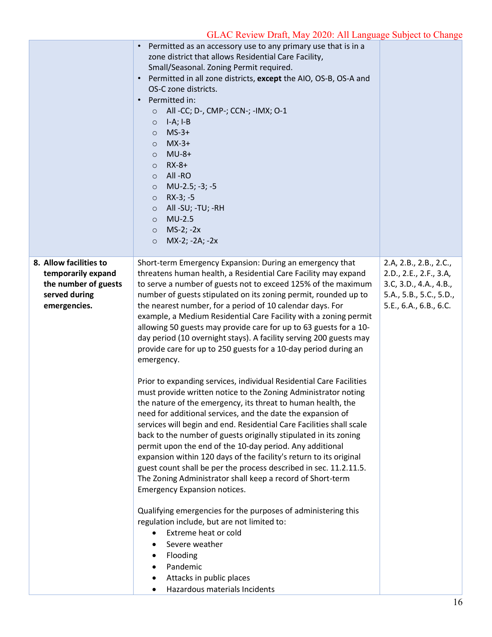|                                                                                                       | Permitted as an accessory use to any primary use that is in a<br>zone district that allows Residential Care Facility,<br>Small/Seasonal. Zoning Permit required.<br>Permitted in all zone districts, except the AIO, OS-B, OS-A and<br>OS-C zone districts.<br>Permitted in:<br>$\bullet$<br>All -CC; D-, CMP-; CCN-; -IMX; O-1<br>$\circ$<br>$I-A; I-B$<br>$\circ$<br>$MS-3+$<br>$\circ$<br>$MX-3+$<br>$\circ$<br>$MU-8+$<br>$\circ$<br>$RX-8+$<br>$\circ$<br>All-RO<br>$\circ$<br>MU-2.5; -3; -5<br>$\circ$<br>$RX-3; -5$<br>$\circ$<br>All -SU; -TU; -RH<br>$\circ$<br>$MU-2.5$<br>$\circ$<br>$MS-2; -2x$<br>$\circ$<br>MX-2; -2A; -2x<br>$\circ$                                                                                                                                                                                                                                                                                                                                                                                                                                                                                                                                                                                                                                                                                                                                                                                                                                                                                                                                                                                              |                                                                                                                                 |
|-------------------------------------------------------------------------------------------------------|---------------------------------------------------------------------------------------------------------------------------------------------------------------------------------------------------------------------------------------------------------------------------------------------------------------------------------------------------------------------------------------------------------------------------------------------------------------------------------------------------------------------------------------------------------------------------------------------------------------------------------------------------------------------------------------------------------------------------------------------------------------------------------------------------------------------------------------------------------------------------------------------------------------------------------------------------------------------------------------------------------------------------------------------------------------------------------------------------------------------------------------------------------------------------------------------------------------------------------------------------------------------------------------------------------------------------------------------------------------------------------------------------------------------------------------------------------------------------------------------------------------------------------------------------------------------------------------------------------------------------------------------------|---------------------------------------------------------------------------------------------------------------------------------|
| 8. Allow facilities to<br>temporarily expand<br>the number of guests<br>served during<br>emergencies. | Short-term Emergency Expansion: During an emergency that<br>threatens human health, a Residential Care Facility may expand<br>to serve a number of guests not to exceed 125% of the maximum<br>number of guests stipulated on its zoning permit, rounded up to<br>the nearest number, for a period of 10 calendar days. For<br>example, a Medium Residential Care Facility with a zoning permit<br>allowing 50 guests may provide care for up to 63 guests for a 10-<br>day period (10 overnight stays). A facility serving 200 guests may<br>provide care for up to 250 guests for a 10-day period during an<br>emergency.<br>Prior to expanding services, individual Residential Care Facilities<br>must provide written notice to the Zoning Administrator noting<br>the nature of the emergency, its threat to human health, the<br>need for additional services, and the date the expansion of<br>services will begin and end. Residential Care Facilities shall scale<br>back to the number of guests originally stipulated in its zoning<br>permit upon the end of the 10-day period. Any additional<br>expansion within 120 days of the facility's return to its original<br>guest count shall be per the process described in sec. 11.2.11.5.<br>The Zoning Administrator shall keep a record of Short-term<br><b>Emergency Expansion notices.</b><br>Qualifying emergencies for the purposes of administering this<br>regulation include, but are not limited to:<br>Extreme heat or cold<br>Severe weather<br>Flooding<br>$\bullet$<br>Pandemic<br>$\bullet$<br>Attacks in public places<br>Hazardous materials Incidents<br>$\bullet$ | 2.A, 2.B., 2.B., 2.C.,<br>2.D., 2.E., 2.F., 3.A,<br>3.C, 3.D., 4.A., 4.B.,<br>5.A., 5.B., 5.C., 5.D.,<br>5.E., 6.A., 6.B., 6.C. |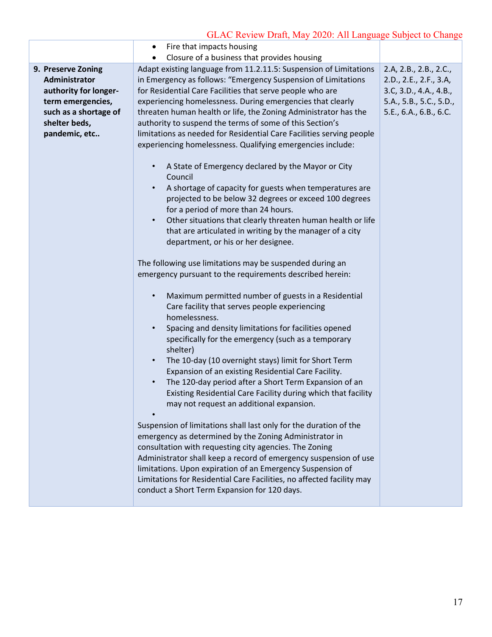|                                                                                                                                              | Fire that impacts housing                                                                                                                                                                                                                                                                                                                                                                                                                                                                                                                                                                                                                                                                                                                                                                                                                                                                                                                                                                                                                                                                                                                                              |                                                                                                                                 |
|----------------------------------------------------------------------------------------------------------------------------------------------|------------------------------------------------------------------------------------------------------------------------------------------------------------------------------------------------------------------------------------------------------------------------------------------------------------------------------------------------------------------------------------------------------------------------------------------------------------------------------------------------------------------------------------------------------------------------------------------------------------------------------------------------------------------------------------------------------------------------------------------------------------------------------------------------------------------------------------------------------------------------------------------------------------------------------------------------------------------------------------------------------------------------------------------------------------------------------------------------------------------------------------------------------------------------|---------------------------------------------------------------------------------------------------------------------------------|
|                                                                                                                                              | Closure of a business that provides housing                                                                                                                                                                                                                                                                                                                                                                                                                                                                                                                                                                                                                                                                                                                                                                                                                                                                                                                                                                                                                                                                                                                            |                                                                                                                                 |
| 9. Preserve Zoning<br>Administrator<br>authority for longer-<br>term emergencies,<br>such as a shortage of<br>shelter beds,<br>pandemic, etc | Adapt existing language from 11.2.11.5: Suspension of Limitations<br>in Emergency as follows: "Emergency Suspension of Limitations<br>for Residential Care Facilities that serve people who are<br>experiencing homelessness. During emergencies that clearly<br>threaten human health or life, the Zoning Administrator has the<br>authority to suspend the terms of some of this Section's<br>limitations as needed for Residential Care Facilities serving people<br>experiencing homelessness. Qualifying emergencies include:<br>A State of Emergency declared by the Mayor or City<br>$\bullet$<br>Council<br>A shortage of capacity for guests when temperatures are<br>$\bullet$<br>projected to be below 32 degrees or exceed 100 degrees<br>for a period of more than 24 hours.<br>Other situations that clearly threaten human health or life<br>$\bullet$<br>that are articulated in writing by the manager of a city<br>department, or his or her designee.                                                                                                                                                                                               | 2.A, 2.B., 2.B., 2.C.,<br>2.D., 2.E., 2.F., 3.A,<br>3.C, 3.D., 4.A., 4.B.,<br>5.A., 5.B., 5.C., 5.D.,<br>5.E., 6.A., 6.B., 6.C. |
|                                                                                                                                              | The following use limitations may be suspended during an<br>emergency pursuant to the requirements described herein:<br>Maximum permitted number of guests in a Residential<br>$\bullet$<br>Care facility that serves people experiencing<br>homelessness.<br>Spacing and density limitations for facilities opened<br>$\bullet$<br>specifically for the emergency (such as a temporary<br>shelter)<br>The 10-day (10 overnight stays) limit for Short Term<br>$\bullet$<br>Expansion of an existing Residential Care Facility.<br>The 120-day period after a Short Term Expansion of an<br>$\bullet$<br>Existing Residential Care Facility during which that facility<br>may not request an additional expansion.<br>Suspension of limitations shall last only for the duration of the<br>emergency as determined by the Zoning Administrator in<br>consultation with requesting city agencies. The Zoning<br>Administrator shall keep a record of emergency suspension of use<br>limitations. Upon expiration of an Emergency Suspension of<br>Limitations for Residential Care Facilities, no affected facility may<br>conduct a Short Term Expansion for 120 days. |                                                                                                                                 |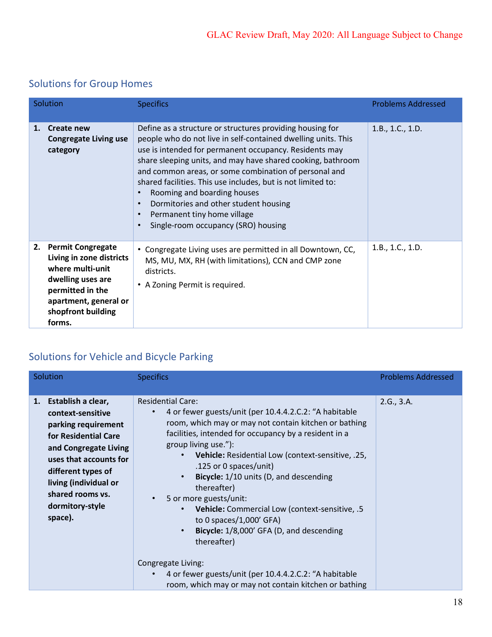# Solutions for Group Homes

| Solution |                                                                                                                                                                            | <b>Specifics</b>                                                                                                                                                                                                                                                                                                                                                                                                                                                                                                                             | <b>Problems Addressed</b> |
|----------|----------------------------------------------------------------------------------------------------------------------------------------------------------------------------|----------------------------------------------------------------------------------------------------------------------------------------------------------------------------------------------------------------------------------------------------------------------------------------------------------------------------------------------------------------------------------------------------------------------------------------------------------------------------------------------------------------------------------------------|---------------------------|
| 1.       | <b>Create new</b><br><b>Congregate Living use</b><br>category                                                                                                              | Define as a structure or structures providing housing for<br>people who do not live in self-contained dwelling units. This<br>use is intended for permanent occupancy. Residents may<br>share sleeping units, and may have shared cooking, bathroom<br>and common areas, or some combination of personal and<br>shared facilities. This use includes, but is not limited to:<br>Rooming and boarding houses<br>٠<br>Dormitories and other student housing<br>$\bullet$<br>Permanent tiny home village<br>Single-room occupancy (SRO) housing | 1.B., 1.C., 1.D.          |
| 2.       | <b>Permit Congregate</b><br>Living in zone districts<br>where multi-unit<br>dwelling uses are<br>permitted in the<br>apartment, general or<br>shopfront building<br>forms. | • Congregate Living uses are permitted in all Downtown, CC,<br>MS, MU, MX, RH (with limitations), CCN and CMP zone<br>districts.<br>• A Zoning Permit is required.                                                                                                                                                                                                                                                                                                                                                                           | 1.B., 1.C., 1.D.          |

# Solutions for Vehicle and Bicycle Parking

| Solution                                                                                                                                                                                                                                      | <b>Specifics</b>                                                                                                                                                                                                                                                                                                                                                                                                                                                                                                                                                                                        | <b>Problems Addressed</b> |
|-----------------------------------------------------------------------------------------------------------------------------------------------------------------------------------------------------------------------------------------------|---------------------------------------------------------------------------------------------------------------------------------------------------------------------------------------------------------------------------------------------------------------------------------------------------------------------------------------------------------------------------------------------------------------------------------------------------------------------------------------------------------------------------------------------------------------------------------------------------------|---------------------------|
| 1. Establish a clear,<br>context-sensitive<br>parking requirement<br>for Residential Care<br>and Congregate Living<br>uses that accounts for<br>different types of<br>living (individual or<br>shared rooms vs.<br>dormitory-style<br>space). | <b>Residential Care:</b><br>4 or fewer guests/unit (per 10.4.4.2.C.2: "A habitable<br>room, which may or may not contain kitchen or bathing<br>facilities, intended for occupancy by a resident in a<br>group living use."):<br>Vehicle: Residential Low (context-sensitive, .25,<br>$\bullet$<br>.125 or 0 spaces/unit)<br>Bicycle: 1/10 units (D, and descending<br>$\bullet$<br>thereafter)<br>5 or more guests/unit:<br>$\bullet$<br>Vehicle: Commercial Low (context-sensitive, .5<br>$\bullet$<br>to 0 spaces/1,000' GFA)<br>Bicycle: 1/8,000' GFA (D, and descending<br>$\bullet$<br>thereafter) | 2.G., 3.A.                |
|                                                                                                                                                                                                                                               | Congregate Living:<br>4 or fewer guests/unit (per 10.4.4.2.C.2: "A habitable<br>room, which may or may not contain kitchen or bathing                                                                                                                                                                                                                                                                                                                                                                                                                                                                   |                           |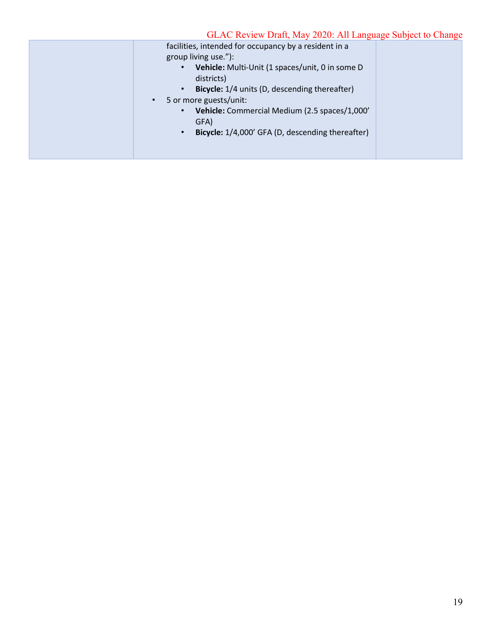| facilities, intended for occupancy by a resident in a<br>group living use."):<br>Vehicle: Multi-Unit (1 spaces/unit, 0 in some D<br>$\bullet$<br>districts)<br>Bicycle: 1/4 units (D, descending thereafter)<br>$\bullet$<br>5 or more guests/unit:<br>$\bullet$<br>Vehicle: Commercial Medium (2.5 spaces/1,000'<br>$\bullet$<br>GFA) |  |
|----------------------------------------------------------------------------------------------------------------------------------------------------------------------------------------------------------------------------------------------------------------------------------------------------------------------------------------|--|
| Bicycle: 1/4,000' GFA (D, descending thereafter)<br>$\bullet$                                                                                                                                                                                                                                                                          |  |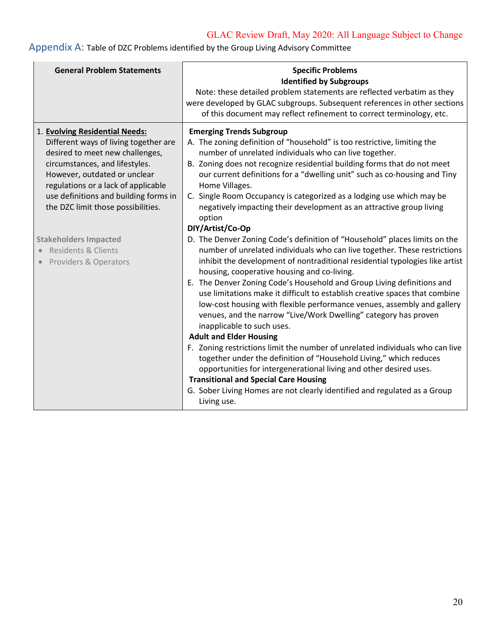| <b>General Problem Statements</b>                                                                                                                                                                                                                                                                  | <b>Specific Problems</b><br><b>Identified by Subgroups</b><br>Note: these detailed problem statements are reflected verbatim as they<br>were developed by GLAC subgroups. Subsequent references in other sections<br>of this document may reflect refinement to correct terminology, etc.                                                                                                                                                                                                                                                                                                                                                                                                                                                                                                                                                                                                                                                                                                                                              |
|----------------------------------------------------------------------------------------------------------------------------------------------------------------------------------------------------------------------------------------------------------------------------------------------------|----------------------------------------------------------------------------------------------------------------------------------------------------------------------------------------------------------------------------------------------------------------------------------------------------------------------------------------------------------------------------------------------------------------------------------------------------------------------------------------------------------------------------------------------------------------------------------------------------------------------------------------------------------------------------------------------------------------------------------------------------------------------------------------------------------------------------------------------------------------------------------------------------------------------------------------------------------------------------------------------------------------------------------------|
| 1. Evolving Residential Needs:<br>Different ways of living together are<br>desired to meet new challenges,<br>circumstances, and lifestyles.<br>However, outdated or unclear<br>regulations or a lack of applicable<br>use definitions and building forms in<br>the DZC limit those possibilities. | <b>Emerging Trends Subgroup</b><br>A. The zoning definition of "household" is too restrictive, limiting the<br>number of unrelated individuals who can live together.<br>B. Zoning does not recognize residential building forms that do not meet<br>our current definitions for a "dwelling unit" such as co-housing and Tiny<br>Home Villages.<br>C. Single Room Occupancy is categorized as a lodging use which may be<br>negatively impacting their development as an attractive group living<br>option<br>DIY/Artist/Co-Op                                                                                                                                                                                                                                                                                                                                                                                                                                                                                                        |
| <b>Stakeholders Impacted</b><br>Residents & Clients<br><b>Providers &amp; Operators</b>                                                                                                                                                                                                            | D. The Denver Zoning Code's definition of "Household" places limits on the<br>number of unrelated individuals who can live together. These restrictions<br>inhibit the development of nontraditional residential typologies like artist<br>housing, cooperative housing and co-living.<br>E. The Denver Zoning Code's Household and Group Living definitions and<br>use limitations make it difficult to establish creative spaces that combine<br>low-cost housing with flexible performance venues, assembly and gallery<br>venues, and the narrow "Live/Work Dwelling" category has proven<br>inapplicable to such uses.<br><b>Adult and Elder Housing</b><br>F. Zoning restrictions limit the number of unrelated individuals who can live<br>together under the definition of "Household Living," which reduces<br>opportunities for intergenerational living and other desired uses.<br><b>Transitional and Special Care Housing</b><br>G. Sober Living Homes are not clearly identified and regulated as a Group<br>Living use. |

Appendix A: Table of DZC Problems identified by the Group Living Advisory Committee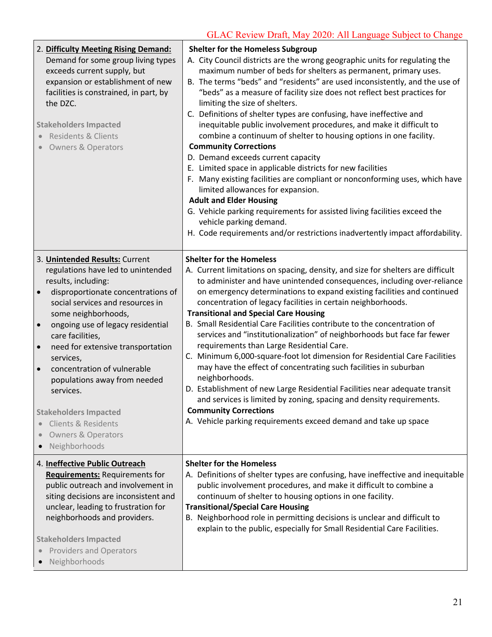| 2. Difficulty Meeting Rising Demand:<br>Demand for some group living types<br>exceeds current supply, but<br>expansion or establishment of new<br>facilities is constrained, in part, by<br>the DZC.<br><b>Stakeholders Impacted</b><br>• Residents & Clients<br><b>Owners &amp; Operators</b>                                                                                                                                                                                                                                                 | <b>Shelter for the Homeless Subgroup</b><br>A. City Council districts are the wrong geographic units for regulating the<br>maximum number of beds for shelters as permanent, primary uses.<br>B. The terms "beds" and "residents" are used inconsistently, and the use of<br>"beds" as a measure of facility size does not reflect best practices for<br>limiting the size of shelters.<br>C. Definitions of shelter types are confusing, have ineffective and<br>inequitable public involvement procedures, and make it difficult to<br>combine a continuum of shelter to housing options in one facility.<br><b>Community Corrections</b><br>D. Demand exceeds current capacity<br>E. Limited space in applicable districts for new facilities<br>F. Many existing facilities are compliant or nonconforming uses, which have<br>limited allowances for expansion.<br><b>Adult and Elder Housing</b><br>G. Vehicle parking requirements for assisted living facilities exceed the<br>vehicle parking demand.<br>H. Code requirements and/or restrictions inadvertently impact affordability. |
|------------------------------------------------------------------------------------------------------------------------------------------------------------------------------------------------------------------------------------------------------------------------------------------------------------------------------------------------------------------------------------------------------------------------------------------------------------------------------------------------------------------------------------------------|------------------------------------------------------------------------------------------------------------------------------------------------------------------------------------------------------------------------------------------------------------------------------------------------------------------------------------------------------------------------------------------------------------------------------------------------------------------------------------------------------------------------------------------------------------------------------------------------------------------------------------------------------------------------------------------------------------------------------------------------------------------------------------------------------------------------------------------------------------------------------------------------------------------------------------------------------------------------------------------------------------------------------------------------------------------------------------------------|
| 3. Unintended Results: Current<br>regulations have led to unintended<br>results, including:<br>disproportionate concentrations of<br>$\bullet$<br>social services and resources in<br>some neighborhoods,<br>ongoing use of legacy residential<br>care facilities,<br>need for extensive transportation<br>services,<br>concentration of vulnerable<br>$\bullet$<br>populations away from needed<br>services.<br><b>Stakeholders Impacted</b><br><b>Clients &amp; Residents</b><br><b>Owners &amp; Operators</b><br>Neighborhoods<br>$\bullet$ | <b>Shelter for the Homeless</b><br>A. Current limitations on spacing, density, and size for shelters are difficult<br>to administer and have unintended consequences, including over-reliance<br>on emergency determinations to expand existing facilities and continued<br>concentration of legacy facilities in certain neighborhoods.<br><b>Transitional and Special Care Housing</b><br>B. Small Residential Care Facilities contribute to the concentration of<br>services and "institutionalization" of neighborhoods but face far fewer<br>requirements than Large Residential Care.<br>C. Minimum 6,000-square-foot lot dimension for Residential Care Facilities<br>may have the effect of concentrating such facilities in suburban<br>neighborhoods.<br>D. Establishment of new Large Residential Facilities near adequate transit<br>and services is limited by zoning, spacing and density requirements.<br><b>Community Corrections</b><br>A. Vehicle parking requirements exceed demand and take up space                                                                       |
| 4. Ineffective Public Outreach<br><b>Requirements: Requirements for</b><br>public outreach and involvement in<br>siting decisions are inconsistent and<br>unclear, leading to frustration for<br>neighborhoods and providers.<br><b>Stakeholders Impacted</b><br><b>Providers and Operators</b><br>Neighborhoods<br>$\bullet$                                                                                                                                                                                                                  | <b>Shelter for the Homeless</b><br>A. Definitions of shelter types are confusing, have ineffective and inequitable<br>public involvement procedures, and make it difficult to combine a<br>continuum of shelter to housing options in one facility.<br><b>Transitional/Special Care Housing</b><br>B. Neighborhood role in permitting decisions is unclear and difficult to<br>explain to the public, especially for Small Residential Care Facilities.                                                                                                                                                                                                                                                                                                                                                                                                                                                                                                                                                                                                                                        |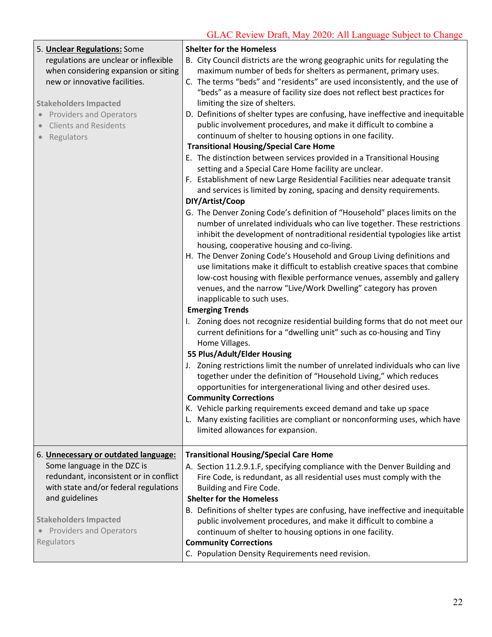| 5. Unclear Regulations: Some<br>regulations are unclear or inflexible<br>when considering expansion or siting<br>new or innovative facilities.<br><b>Stakeholders Impacted</b><br>• Providers and Operators<br><b>Clients and Residents</b><br>Regulators | <b>Shelter for the Homeless</b><br>B. City Council districts are the wrong geographic units for regulating the<br>maximum number of beds for shelters as permanent, primary uses.<br>C. The terms "beds" and "residents" are used inconsistently, and the use of<br>"beds" as a measure of facility size does not reflect best practices for<br>limiting the size of shelters.<br>D. Definitions of shelter types are confusing, have ineffective and inequitable<br>public involvement procedures, and make it difficult to combine a<br>continuum of shelter to housing options in one facility.<br><b>Transitional Housing/Special Care Home</b><br>E. The distinction between services provided in a Transitional Housing<br>setting and a Special Care Home facility are unclear.<br>F. Establishment of new Large Residential Facilities near adequate transit<br>and services is limited by zoning, spacing and density requirements.<br>DIY/Artist/Coop<br>G. The Denver Zoning Code's definition of "Household" places limits on the<br>number of unrelated individuals who can live together. These restrictions<br>inhibit the development of nontraditional residential typologies like artist<br>housing, cooperative housing and co-living.<br>H. The Denver Zoning Code's Household and Group Living definitions and<br>use limitations make it difficult to establish creative spaces that combine |
|-----------------------------------------------------------------------------------------------------------------------------------------------------------------------------------------------------------------------------------------------------------|--------------------------------------------------------------------------------------------------------------------------------------------------------------------------------------------------------------------------------------------------------------------------------------------------------------------------------------------------------------------------------------------------------------------------------------------------------------------------------------------------------------------------------------------------------------------------------------------------------------------------------------------------------------------------------------------------------------------------------------------------------------------------------------------------------------------------------------------------------------------------------------------------------------------------------------------------------------------------------------------------------------------------------------------------------------------------------------------------------------------------------------------------------------------------------------------------------------------------------------------------------------------------------------------------------------------------------------------------------------------------------------------------------------------|
|                                                                                                                                                                                                                                                           | low-cost housing with flexible performance venues, assembly and gallery<br>venues, and the narrow "Live/Work Dwelling" category has proven<br>inapplicable to such uses.<br><b>Emerging Trends</b><br>I. Zoning does not recognize residential building forms that do not meet our<br>current definitions for a "dwelling unit" such as co-housing and Tiny<br>Home Villages.                                                                                                                                                                                                                                                                                                                                                                                                                                                                                                                                                                                                                                                                                                                                                                                                                                                                                                                                                                                                                                      |
|                                                                                                                                                                                                                                                           | 55 Plus/Adult/Elder Housing<br>J. Zoning restrictions limit the number of unrelated individuals who can live<br>together under the definition of "Household Living," which reduces<br>opportunities for intergenerational living and other desired uses.<br><b>Community Corrections</b><br>K. Vehicle parking requirements exceed demand and take up space<br>L. Many existing facilities are compliant or nonconforming uses, which have<br>limited allowances for expansion.                                                                                                                                                                                                                                                                                                                                                                                                                                                                                                                                                                                                                                                                                                                                                                                                                                                                                                                                    |
| 6. Unnecessary or outdated language:<br>Some language in the DZC is<br>redundant, inconsistent or in conflict<br>with state and/or federal regulations<br>and guidelines<br><b>Stakeholders Impacted</b>                                                  | <b>Transitional Housing/Special Care Home</b><br>A. Section 11.2.9.1.F, specifying compliance with the Denver Building and<br>Fire Code, is redundant, as all residential uses must comply with the<br>Building and Fire Code.<br><b>Shelter for the Homeless</b><br>B. Definitions of shelter types are confusing, have ineffective and inequitable<br>public involvement procedures, and make it difficult to combine a                                                                                                                                                                                                                                                                                                                                                                                                                                                                                                                                                                                                                                                                                                                                                                                                                                                                                                                                                                                          |
| <b>Providers and Operators</b><br>Regulators                                                                                                                                                                                                              | continuum of shelter to housing options in one facility.<br><b>Community Corrections</b><br>C. Population Density Requirements need revision.                                                                                                                                                                                                                                                                                                                                                                                                                                                                                                                                                                                                                                                                                                                                                                                                                                                                                                                                                                                                                                                                                                                                                                                                                                                                      |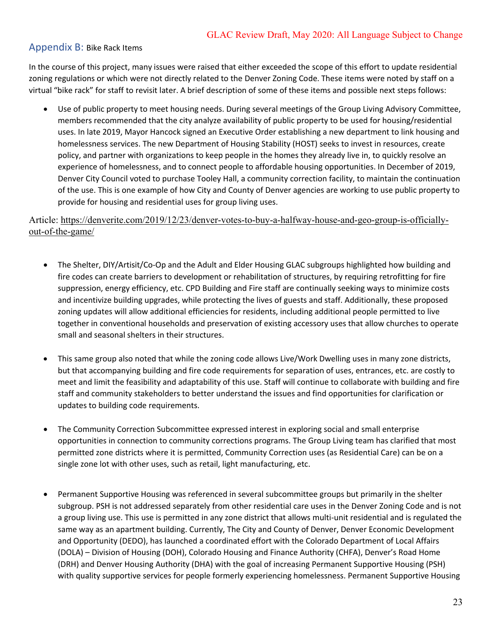# Appendix B: Bike Rack Items

 In the course of this project, many issues were raised that either exceeded the scope of this effort to update residential zoning regulations or which were not directly related to the Denver Zoning Code. These items were noted by staff on a virtual "bike rack" for staff to revisit later. A brief description of some of these items and possible next steps follows:

 • Use of public property to meet housing needs. During several meetings of the Group Living Advisory Committee, members recommended that the city analyze availability of public property to be used for housing/residential uses. In late 2019, Mayor Hancock signed an Executive Order establishing a new department to link housing and homelessness services. The new Department of Housing Stability (HOST) seeks to invest in resources, create policy, and partner with organizations to keep people in the homes they already live in, to quickly resolve an experience of homelessness, and to connect people to affordable housing opportunities. In December of 2019, Denver City Council voted to purchase Tooley Hall, a community correction facility, to maintain the continuation of the use. This is one example of how City and County of Denver agencies are working to use public property to provide for housing and residential uses for group living uses.

Article: <https://denverite.com/2019/12/23/denver-votes-to-buy-a-halfway-house-and-geo-group-is-officially>out-of-the-game/

- • The Shelter, DIY/Artisit/Co-Op and the Adult and Elder Housing GLAC subgroups highlighted how building and fire codes can create barriers to development or rehabilitation of structures, by requiring retrofitting for fire suppression, energy efficiency, etc. CPD Building and Fire staff are continually seeking ways to minimize costs and incentivize building upgrades, while protecting the lives of guests and staff. Additionally, these proposed zoning updates will allow additional efficiencies for residents, including additional people permitted to live together in conventional households and preservation of existing accessory uses that allow churches to operate small and seasonal shelters in their structures.
- • This same group also noted that while the zoning code allows Live/Work Dwelling uses in many zone districts, but that accompanying building and fire code requirements for separation of uses, entrances, etc. are costly to meet and limit the feasibility and adaptability of this use. Staff will continue to collaborate with building and fire staff and community stakeholders to better understand the issues and find opportunities for clarification or updates to building code requirements.
- • The Community Correction Subcommittee expressed interest in exploring social and small enterprise opportunities in connection to community corrections programs. The Group Living team has clarified that most permitted zone districts where it is permitted, Community Correction uses (as Residential Care) can be on a single zone lot with other uses, such as retail, light manufacturing, etc.
- • Permanent Supportive Housing was referenced in several subcommittee groups but primarily in the shelter subgroup. PSH is not addressed separately from other residential care uses in the Denver Zoning Code and is not a group living use. This use is permitted in any zone district that allows multi-unit residential and is regulated the same way as an apartment building. Currently, The City and County of Denver, Denver Economic Development and Opportunity (DEDO), has launched a coordinated effort with the Colorado Department of Local Affairs (DOLA) – Division of Housing (DOH), Colorado Housing and Finance Authority (CHFA), Denver's Road Home (DRH) and Denver Housing Authority (DHA) with the goal of increasing Permanent Supportive Housing (PSH) with quality supportive services for people formerly experiencing homelessness. Permanent Supportive Housing